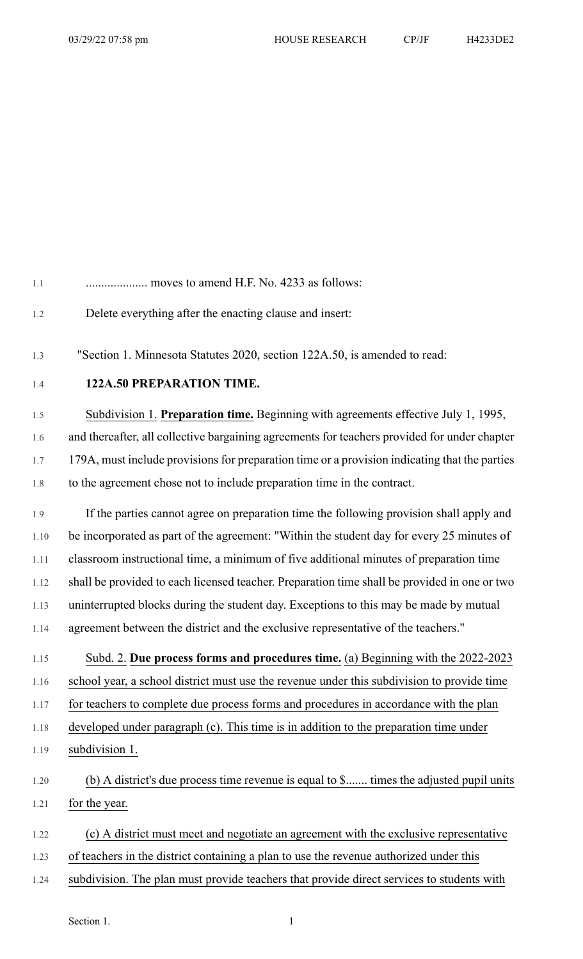| $1.1\,$ | moves to amend H.F. No. 4233 as follows:                                                      |
|---------|-----------------------------------------------------------------------------------------------|
| 1.2     | Delete everything after the enacting clause and insert:                                       |
| 1.3     | "Section 1. Minnesota Statutes 2020, section 122A.50, is amended to read:                     |
| 1.4     | 122A.50 PREPARATION TIME.                                                                     |
| 1.5     | Subdivision 1. Preparation time. Beginning with agreements effective July 1, 1995,            |
| 1.6     | and thereafter, all collective bargaining agreements for teachers provided for under chapter  |
| 1.7     | 179A, must include provisions for preparation time or a provision indicating that the parties |
| 1.8     | to the agreement chose not to include preparation time in the contract.                       |
| 1.9     | If the parties cannot agree on preparation time the following provision shall apply and       |
| 1.10    | be incorporated as part of the agreement: "Within the student day for every 25 minutes of     |
| 1.11    | classroom instructional time, a minimum of five additional minutes of preparation time        |
| 1.12    | shall be provided to each licensed teacher. Preparation time shall be provided in one or two  |
| 1.13    | uninterrupted blocks during the student day. Exceptions to this may be made by mutual         |
| 1.14    | agreement between the district and the exclusive representative of the teachers."             |
| 1.15    | Subd. 2. Due process forms and procedures time. (a) Beginning with the 2022-2023              |
| 1.16    | school year, a school district must use the revenue under this subdivision to provide time    |
| 1.17    | for teachers to complete due process forms and procedures in accordance with the plan         |
| 1.18    | developed under paragraph (c). This time is in addition to the preparation time under         |
| 1.19    | subdivision 1.                                                                                |
| 1.20    | (b) A district's due process time revenue is equal to \$ times the adjusted pupil units       |
| 1.21    | for the year.                                                                                 |
| 1.22    | (c) A district must meet and negotiate an agreement with the exclusive representative         |
| 1.23    | of teachers in the district containing a plan to use the revenue authorized under this        |
| 1.24    | subdivision. The plan must provide teachers that provide direct services to students with     |